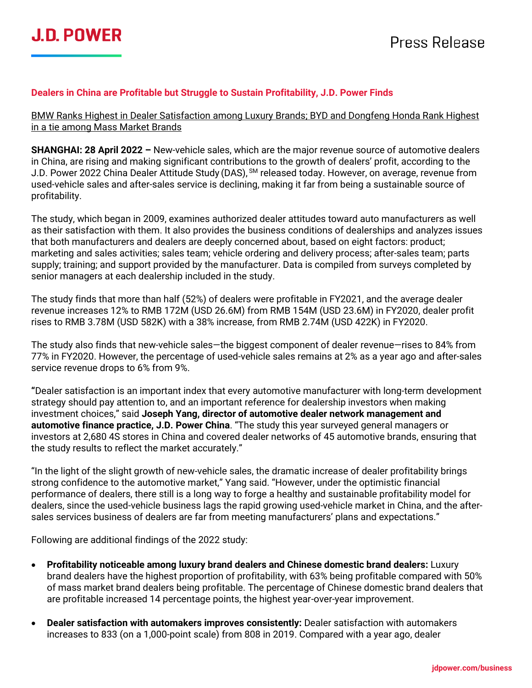### **Dealers in China are Profitable but Struggle to Sustain Profitability, J.D. Power Finds**

BMW Ranks Highest in Dealer Satisfaction among Luxury Brands; BYD and Dongfeng Honda Rank Highest in a tie among Mass Market Brands

**SHANGHAI: 28 April 2022 –** New-vehicle sales, which are the major revenue source of automotive dealers in China, are rising and making significant contributions to the growth of dealers' profit, according to the J.D. Power 2022 China Dealer Attitude Study (DAS), SM released today. However, on average, revenue from used-vehicle sales and after-sales service is declining, making it far from being a sustainable source of profitability.

The study, which began in 2009, examines authorized dealer attitudes toward auto manufacturers as well as their satisfaction with them. It also provides the business conditions of dealerships and analyzes issues that both manufacturers and dealers are deeply concerned about, based on eight factors: product; marketing and sales activities; sales team; vehicle ordering and delivery process; after-sales team; parts supply; training; and support provided by the manufacturer. Data is compiled from surveys completed by senior managers at each dealership included in the study.

The study finds that more than half (52%) of dealers were profitable in FY2021, and the average dealer revenue increases 12% to RMB 172M (USD 26.6M) from RMB 154M (USD 23.6M) in FY2020, dealer profit rises to RMB 3.78M (USD 582K) with a 38% increase, from RMB 2.74M (USD 422K) in FY2020.

The study also finds that new-vehicle sales—the biggest component of dealer revenue—rises to 84% from 77% in FY2020. However, the percentage of used-vehicle sales remains at 2% as a year ago and after-sales service revenue drops to 6% from 9%.

**"**Dealer satisfaction is an important index that every automotive manufacturer with long-term development strategy should pay attention to, and an important reference for dealership investors when making investment choices," said **Joseph Yang, director of automotive dealer network management and automotive finance practice, J.D. Power China**. "The study this year surveyed general managers or investors at 2,680 4S stores in China and covered dealer networks of 45 automotive brands, ensuring that the study results to reflect the market accurately."

"In the light of the slight growth of new-vehicle sales, the dramatic increase of dealer profitability brings strong confidence to the automotive market," Yang said. "However, under the optimistic financial performance of dealers, there still is a long way to forge a healthy and sustainable profitability model for dealers, since the used-vehicle business lags the rapid growing used-vehicle market in China, and the aftersales services business of dealers are far from meeting manufacturers' plans and expectations."

Following are additional findings of the 2022 study:

- **Profitability noticeable among luxury brand dealers and Chinese domestic brand dealers:** Luxury brand dealers have the highest proportion of profitability, with 63% being profitable compared with 50% of mass market brand dealers being profitable. The percentage of Chinese domestic brand dealers that are profitable increased 14 percentage points, the highest year-over-year improvement.
- **Dealer satisfaction with automakers improves consistently:** Dealer satisfaction with automakers increases to 833 (on a 1,000-point scale) from 808 in 2019. Compared with a year ago, dealer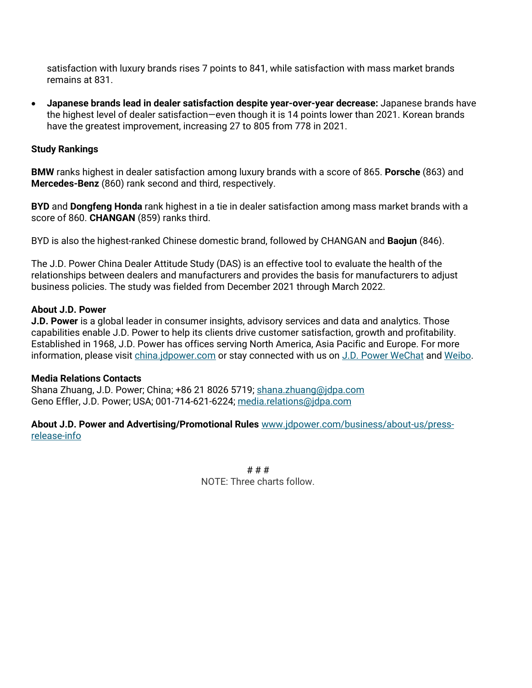satisfaction with luxury brands rises 7 points to 841, while satisfaction with mass market brands remains at 831.

• **Japanese brands lead in dealer satisfaction despite year-over-year decrease:** Japanese brands have the highest level of dealer satisfaction—even though it is 14 points lower than 2021. Korean brands have the greatest improvement, increasing 27 to 805 from 778 in 2021.

### **Study Rankings**

**BMW** ranks highest in dealer satisfaction among luxury brands with a score of 865. **Porsche** (863) and **Mercedes-Benz** (860) rank second and third, respectively.

**BYD** and **Dongfeng Honda** rank highest in a tie in dealer satisfaction among mass market brands with a score of 860. **CHANGAN** (859) ranks third.

BYD is also the highest-ranked Chinese domestic brand, followed by CHANGAN and **Baojun** (846).

The J.D. Power China Dealer Attitude Study (DAS) is an effective tool to evaluate the health of the relationships between dealers and manufacturers and provides the basis for manufacturers to adjust business policies. The study was fielded from December 2021 through March 2022.

#### **About J.D. Power**

**J.D. Power** is a global leader in consumer insights, advisory services and data and analytics. Those capabilities enable J.D. Power to help its clients drive customer satisfaction, growth and profitability. Established in 1968, J.D. Power has offices serving North America, Asia Pacific and Europe. For more information, please visit [china.jdpower.com](https://china.jdpower.com/zh-hans) or stay connected with us on [J.D. Power WeChat](https://china.jdpower.com/resource/social-media-china) and [Weibo.](https://www.weibo.com/jdpowerchina)

#### **Media Relations Contacts**

Shana Zhuang, J.D. Power; China; +86 21 8026 5719; [shana.zhuang@jdpa.com](mailto:shana.zhuang@jdpa.com) Geno Effler, J.D. Power; USA; 001-714-621-6224; [media.relations@jdpa.com](mailto:media.relations@jdpa.com)

### **About J.D. Power and Advertising/Promotional Rules** [www.jdpower.com/business/about-us/press](http://www.jdpower.com/business/about-us/press-release-info)[release-info](http://www.jdpower.com/business/about-us/press-release-info)

# # # NOTE: Three charts follow.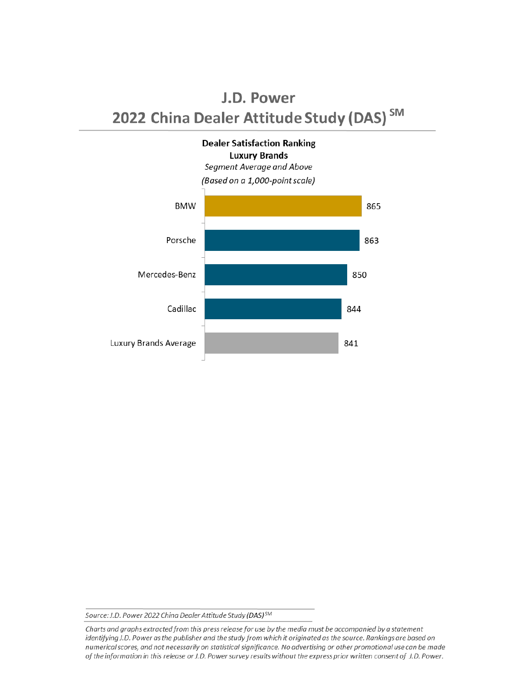# J.D. Power 2022 China Dealer Attitude Study (DAS) SM



Source: J.D. Power 2022 China Dealer Attitude Study (DAS) SM

Charts and graphs extracted from this press release for use by the media must be accompanied by a statement identifying J.D. Power as the publisher and the study from which it originated as the source. Rankings are based on numerical scores, and not necessarily on statistical significance. No advertising or other promotional use can be made of the information in this release or J.D. Power survey results without the express prior written consent of J.D. Power.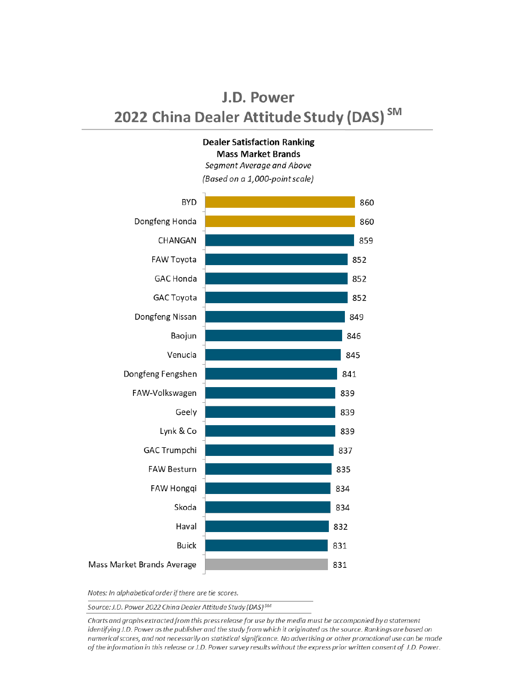## J.D. Power 2022 China Dealer Attitude Study (DAS) SM

#### **Dealer Satisfaction Ranking Mass Market Brands**

Segment Average and Above (Based on a 1,000-point scale)



Notes: In alphabetical order if there are tie scores.

Source: J.D. Power 2022 China Dealer Attitude Study (DAS) SM

Charts and graphs extracted from this press release for use by the media must be accompanied by a statement identifying J.D. Power as the publisher and the study from which it originated as the source. Rankings are based on numerical scores, and not necessarily on statistical significance. No advertising or other promotional use can be made of the information in this release or J.D. Power survey results without the express prior written consent of J.D. Power.